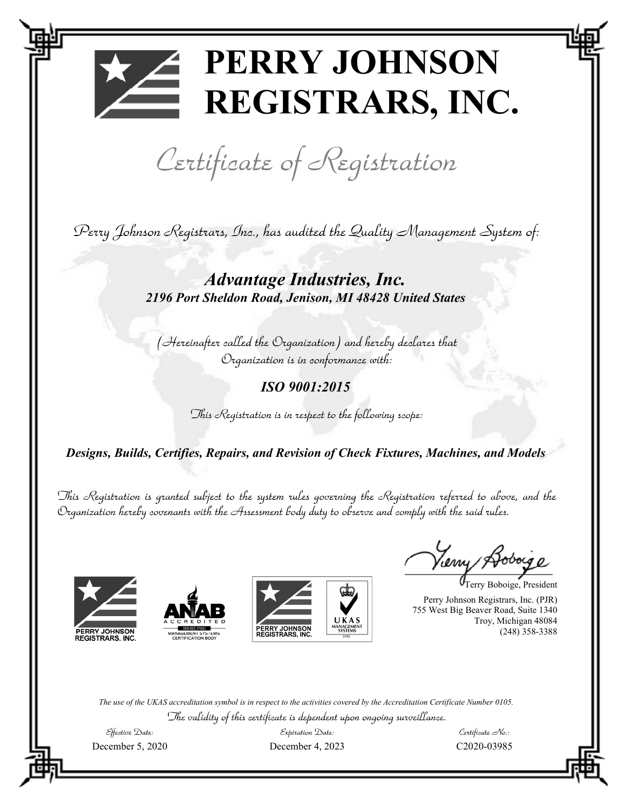# **PERRY JOHNSON REGISTRARS, INC.**

Certificate of Registration

Perry Johnson Registrars, Inc., has audited the Quality Management System of:

*Advantage Industries, Inc. 2196 Port Sheldon Road, Jenison, MI 48428 United States* 

(Hereinafter called the Organization) and hereby declares that Organization is in conformance with:

*ISO 9001:2015* 

This Registration is in respect to the following scope:

*Designs, Builds, Certifies, Repairs, and Revision of Check Fixtures, Machines, and Models*

This Registration is granted subject to the system rules governing the Registration referred to above, and the Organization hereby covenants with the Assessment body duty to observe and comply with the said rules.







Yerny

Terry Boboige, President

Perry Johnson Registrars, Inc. (PJR) 755 West Big Beaver Road, Suite 1340 Troy, Michigan 48084 (248) 358-3388

*The use of the UKAS accreditation symbol is in respect to the activities covered by the Accreditation Certificate Number 0105.*  The validity of this certificate is dependent upon ongoing surveillance.

 $\mathcal{E}$ ffective  $\mathcal{D}$ ate:

Expiration Date: December 5, 2020 December 4, 2023 C2020-03985

 $\mathcal{C}$ ertificate  $\mathcal{N}$ o.: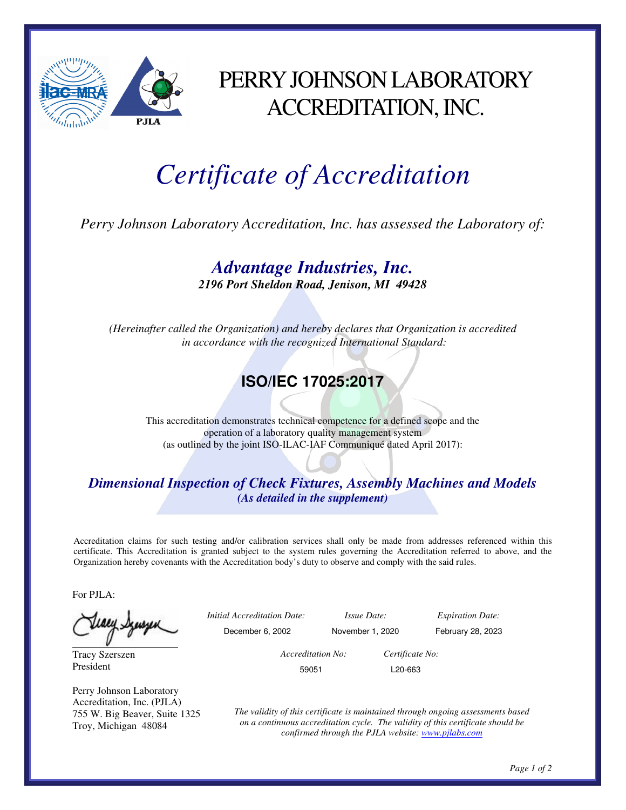

### PERRY JOHNSON LABORATORY ACCREDITATION, INC.

## *Certificate of Accreditation*

*Perry Johnson Laboratory Accreditation, Inc. has assessed the Laboratory of:* 

*Advantage Industries, Inc. 2196 Port Sheldon Road, Jenison, MI 49428* 

*(Hereinafter called the Organization) and hereby declares that Organization is accredited in accordance with the recognized International Standard:* 

### **ISO/IEC 17025:2017**

This accreditation demonstrates technical competence for a defined scope and the operation of a laboratory quality management system (as outlined by the joint ISO-ILAC-IAF Communiqué dated April 2017):

#### *Dimensional Inspection of Check Fixtures, Assembly Machines and Models (As detailed in the supplement)*

Accreditation claims for such testing and/or calibration services shall only be made from addresses referenced within this certificate. This Accreditation is granted subject to the system rules governing the Accreditation referred to above, and the Organization hereby covenants with the Accreditation body's duty to observe and comply with the said rules.

For PJLA:

Tracy Szerszen President

Perry Johnson Laboratory Accreditation, Inc. (PJLA) 755 W. Big Beaver, Suite 1325 Troy, Michigan 48084

 *Initial Accreditation Date: Issue Date: Expiration Date:*  December 6, 2002 November 1, 2020 February 28, 2023  *Accreditation No: Certificate No:*  59051 L20-663

> *The validity of this certificate is maintained through ongoing assessments based on a continuous accreditation cycle. The validity of this certificate should be confirmed through the PJLA website: www.pjlabs.com*